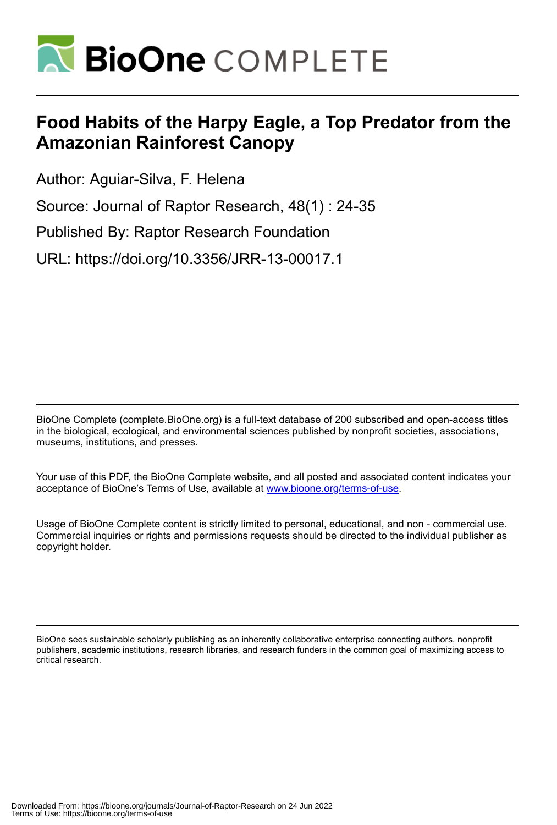

# **Food Habits of the Harpy Eagle, a Top Predator from the Amazonian Rainforest Canopy**

Author: Aguiar-Silva, F. Helena

Source: Journal of Raptor Research, 48(1) : 24-35

Published By: Raptor Research Foundation

URL: https://doi.org/10.3356/JRR-13-00017.1

BioOne Complete (complete.BioOne.org) is a full-text database of 200 subscribed and open-access titles in the biological, ecological, and environmental sciences published by nonprofit societies, associations, museums, institutions, and presses.

Your use of this PDF, the BioOne Complete website, and all posted and associated content indicates your acceptance of BioOne's Terms of Use, available at www.bioone.org/terms-of-use.

Usage of BioOne Complete content is strictly limited to personal, educational, and non - commercial use. Commercial inquiries or rights and permissions requests should be directed to the individual publisher as copyright holder.

BioOne sees sustainable scholarly publishing as an inherently collaborative enterprise connecting authors, nonprofit publishers, academic institutions, research libraries, and research funders in the common goal of maximizing access to critical research.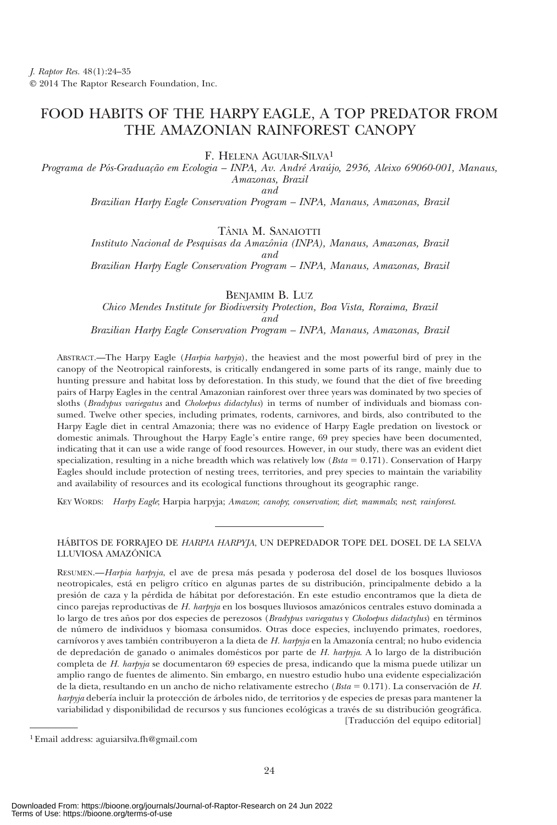# FOOD HABITS OF THE HARPY EAGLE, A TOP PREDATOR FROM THE AMAZONIAN RAINFOREST CANOPY

F. HELENA AGUIAR-SILVA<sup>1</sup>

Programa de Pós-Graduação em Ecologia – INPA, Av. André Araújo, 2936, Aleixo 69060-001, Manaus, Amazonas, Brazil and

Brazilian Harpy Eagle Conservation Program – INPA, Manaus, Amazonas, Brazil

### TÂNIA M. SANAIOTTI

Instituto Nacional de Pesquisas da Amazônia (INPA), Manaus, Amazonas, Brazil and

Brazilian Harpy Eagle Conservation Program – INPA, Manaus, Amazonas, Brazil

BENJAMIM B. LUZ

Chico Mendes Institute for Biodiversity Protection, Boa Vista, Roraima, Brazil and Brazilian Harpy Eagle Conservation Program – INPA, Manaus, Amazonas, Brazil

ABSTRACT.—The Harpy Eagle (Harpia harpyja), the heaviest and the most powerful bird of prey in the canopy of the Neotropical rainforests, is critically endangered in some parts of its range, mainly due to hunting pressure and habitat loss by deforestation. In this study, we found that the diet of five breeding pairs of Harpy Eagles in the central Amazonian rainforest over three years was dominated by two species of sloths (Bradypus variegatus and Choloepus didactylus) in terms of number of individuals and biomass consumed. Twelve other species, including primates, rodents, carnivores, and birds, also contributed to the Harpy Eagle diet in central Amazonia; there was no evidence of Harpy Eagle predation on livestock or domestic animals. Throughout the Harpy Eagle's entire range, 69 prey species have been documented, indicating that it can use a wide range of food resources. However, in our study, there was an evident diet specialization, resulting in a niche breadth which was relatively low ( $Bsta = 0.171$ ). Conservation of Harpy Eagles should include protection of nesting trees, territories, and prey species to maintain the variability and availability of resources and its ecological functions throughout its geographic range.

KEY WORDS: Harpy Eagle; Harpia harpyja; Amazon; canopy; conservation; diet; mammals; nest; rainforest.

## HÁBITOS DE FORRAJEO DE HARPIA HARPYJA, UN DEPREDADOR TOPE DEL DOSEL DE LA SELVA LLUVIOSA AMAZÓNICA

RESUMEN.—Harpia harpyja, el ave de presa más pesada y poderosa del dosel de los bosques lluviosos neotropicales, está en peligro crítico en algunas partes de su distribución, principalmente debido a la presión de caza y la pérdida de hábitat por deforestación. En este estudio encontramos que la dieta de cinco parejas reproductivas de H. harpyja en los bosques lluviosos amazónicos centrales estuvo dominada a lo largo de tres años por dos especies de perezosos (Bradypus variegatus y Choloepus didactylus) en términos de número de individuos y biomasa consumidos. Otras doce especies, incluyendo primates, roedores, carnívoros y aves también contribuyeron a la dieta de H. harpyja en la Amazonía central; no hubo evidencia de depredación de ganado o animales domésticos por parte de H. harpyja. A lo largo de la distribución completa de H. harpyja se documentaron 69 especies de presa, indicando que la misma puede utilizar un amplio rango de fuentes de alimento. Sin embargo, en nuestro estudio hubo una evidente especialización de la dieta, resultando en un ancho de nicho relativamente estrecho ( $Bsta = 0.171$ ). La conservación de H. harpyja debería incluir la protección de árboles nido, de territorios y de especies de presas para mantener la variabilidad y disponibilidad de recursos y sus funciones ecológicas a través de su distribución geográfica. [Traducción del equipo editorial]

<sup>1</sup>Email address: aguiarsilva.fh@gmail.com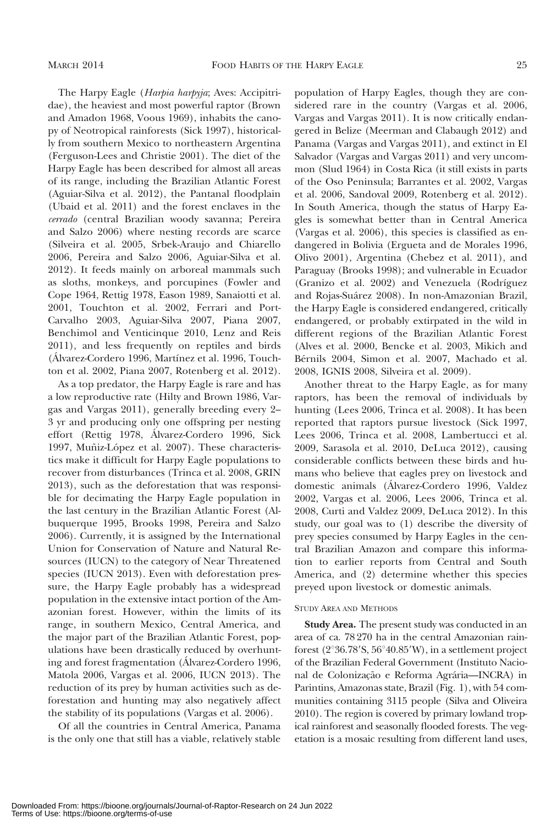The Harpy Eagle (Harpia harpyja; Aves: Accipitridae), the heaviest and most powerful raptor (Brown and Amadon 1968, Voous 1969), inhabits the canopy of Neotropical rainforests (Sick 1997), historically from southern Mexico to northeastern Argentina (Ferguson-Lees and Christie 2001). The diet of the Harpy Eagle has been described for almost all areas of its range, including the Brazilian Atlantic Forest (Aguiar-Silva et al. 2012), the Pantanal floodplain (Ubaid et al. 2011) and the forest enclaves in the cerrado (central Brazilian woody savanna; Pereira and Salzo 2006) where nesting records are scarce (Silveira et al. 2005, Srbek-Araujo and Chiarello 2006, Pereira and Salzo 2006, Aguiar-Silva et al. 2012). It feeds mainly on arboreal mammals such as sloths, monkeys, and porcupines (Fowler and Cope 1964, Rettig 1978, Eason 1989, Sanaiotti et al. 2001, Touchton et al. 2002, Ferrari and Port-Carvalho 2003, Aguiar-Silva 2007, Piana 2007, Benchimol and Venticinque 2010, Lenz and Reis 2011), and less frequently on reptiles and birds (Álvarez-Cordero 1996, Martínez et al. 1996, Touchton et al. 2002, Piana 2007, Rotenberg et al. 2012).

As a top predator, the Harpy Eagle is rare and has a low reproductive rate (Hilty and Brown 1986, Vargas and Vargas 2011), generally breeding every 2– 3 yr and producing only one offspring per nesting effort (Rettig 1978, Álvarez-Cordero 1996, Sick 1997, Muñiz-López et al. 2007). These characteristics make it difficult for Harpy Eagle populations to recover from disturbances (Trinca et al. 2008, GRIN 2013), such as the deforestation that was responsible for decimating the Harpy Eagle population in the last century in the Brazilian Atlantic Forest (Albuquerque 1995, Brooks 1998, Pereira and Salzo 2006). Currently, it is assigned by the International Union for Conservation of Nature and Natural Resources (IUCN) to the category of Near Threatened species (IUCN 2013). Even with deforestation pressure, the Harpy Eagle probably has a widespread population in the extensive intact portion of the Amazonian forest. However, within the limits of its range, in southern Mexico, Central America, and the major part of the Brazilian Atlantic Forest, populations have been drastically reduced by overhunting and forest fragmentation (Alvarez-Cordero 1996, Matola 2006, Vargas et al. 2006, IUCN 2013). The reduction of its prey by human activities such as deforestation and hunting may also negatively affect the stability of its populations (Vargas et al. 2006).

Of all the countries in Central America, Panama is the only one that still has a viable, relatively stable

population of Harpy Eagles, though they are considered rare in the country (Vargas et al. 2006, Vargas and Vargas 2011). It is now critically endangered in Belize (Meerman and Clabaugh 2012) and Panama (Vargas and Vargas 2011), and extinct in El Salvador (Vargas and Vargas 2011) and very uncommon (Slud 1964) in Costa Rica (it still exists in parts of the Oso Peninsula; Barrantes et al. 2002, Vargas et al. 2006, Sandoval 2009, Rotenberg et al. 2012). In South America, though the status of Harpy Eagles is somewhat better than in Central America (Vargas et al. 2006), this species is classified as endangered in Bolivia (Ergueta and de Morales 1996, Olivo 2001), Argentina (Chebez et al. 2011), and Paraguay (Brooks 1998); and vulnerable in Ecuador (Granizo et al. 2002) and Venezuela (Rodríguez and Rojas-Sua´rez 2008). In non-Amazonian Brazil, the Harpy Eagle is considered endangered, critically endangered, or probably extirpated in the wild in different regions of the Brazilian Atlantic Forest (Alves et al. 2000, Bencke et al. 2003, Mikich and Bérnils 2004, Simon et al. 2007, Machado et al. 2008, IGNIS 2008, Silveira et al. 2009).

Another threat to the Harpy Eagle, as for many raptors, has been the removal of individuals by hunting (Lees 2006, Trinca et al. 2008). It has been reported that raptors pursue livestock (Sick 1997, Lees 2006, Trinca et al. 2008, Lambertucci et al. 2009, Sarasola et al. 2010, DeLuca 2012), causing considerable conflicts between these birds and humans who believe that eagles prey on livestock and domestic animals (Alvarez-Cordero 1996, Valdez 2002, Vargas et al. 2006, Lees 2006, Trinca et al. 2008, Curti and Valdez 2009, DeLuca 2012). In this study, our goal was to (1) describe the diversity of prey species consumed by Harpy Eagles in the central Brazilian Amazon and compare this information to earlier reports from Central and South America, and (2) determine whether this species preyed upon livestock or domestic animals.

#### STUDY AREA AND METHODS

Study Area. The present study was conducted in an area of ca. 78 270 ha in the central Amazonian rainforest  $(2^{\circ}36.78^{\prime}S, 56^{\circ}40.85^{\prime}W)$ , in a settlement project of the Brazilian Federal Government (Instituto Nacional de Colonização e Reforma Agrária-INCRA) in Parintins, Amazonas state, Brazil (Fig. 1), with 54 communities containing 3115 people (Silva and Oliveira 2010). The region is covered by primary lowland tropical rainforest and seasonally flooded forests. The vegetation is a mosaic resulting from different land uses,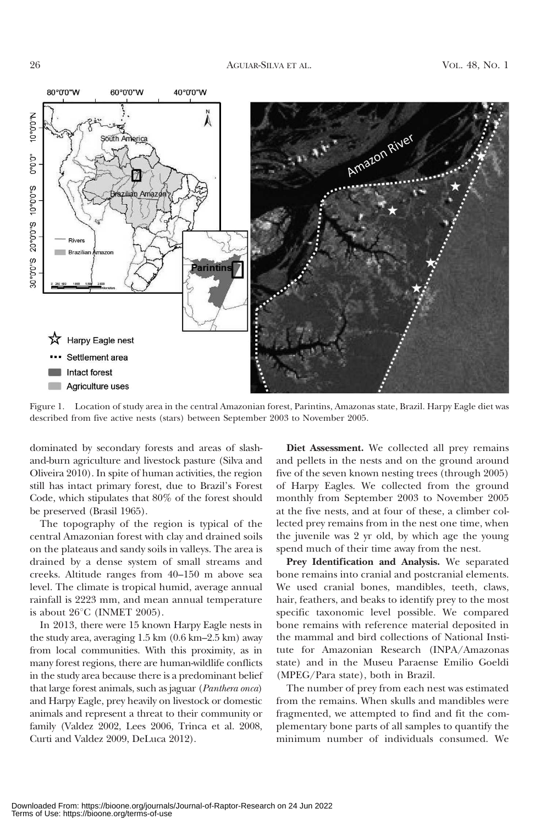

Figure 1. Location of study area in the central Amazonian forest, Parintins, Amazonas state, Brazil. Harpy Eagle diet was described from five active nests (stars) between September 2003 to November 2005.

dominated by secondary forests and areas of slashand-burn agriculture and livestock pasture (Silva and Oliveira 2010). In spite of human activities, the region still has intact primary forest, due to Brazil's Forest Code, which stipulates that 80% of the forest should be preserved (Brasil 1965).

The topography of the region is typical of the central Amazonian forest with clay and drained soils on the plateaus and sandy soils in valleys. The area is drained by a dense system of small streams and creeks. Altitude ranges from 40–150 m above sea level. The climate is tropical humid, average annual rainfall is 2223 mm, and mean annual temperature is about  $26^{\circ}$ C (INMET 2005).

In 2013, there were 15 known Harpy Eagle nests in the study area, averaging 1.5 km (0.6 km–2.5 km) away from local communities. With this proximity, as in many forest regions, there are human-wildlife conflicts in the study area because there is a predominant belief that large forest animals, such as jaguar (Panthera onca) and Harpy Eagle, prey heavily on livestock or domestic animals and represent a threat to their community or family (Valdez 2002, Lees 2006, Trinca et al. 2008, Curti and Valdez 2009, DeLuca 2012).

Diet Assessment. We collected all prey remains and pellets in the nests and on the ground around five of the seven known nesting trees (through 2005) of Harpy Eagles. We collected from the ground monthly from September 2003 to November 2005 at the five nests, and at four of these, a climber collected prey remains from in the nest one time, when the juvenile was 2 yr old, by which age the young spend much of their time away from the nest.

Prey Identification and Analysis. We separated bone remains into cranial and postcranial elements. We used cranial bones, mandibles, teeth, claws, hair, feathers, and beaks to identify prey to the most specific taxonomic level possible. We compared bone remains with reference material deposited in the mammal and bird collections of National Institute for Amazonian Research (INPA/Amazonas state) and in the Museu Paraense Emilio Goeldi (MPEG/Para state), both in Brazil.

The number of prey from each nest was estimated from the remains. When skulls and mandibles were fragmented, we attempted to find and fit the complementary bone parts of all samples to quantify the minimum number of individuals consumed. We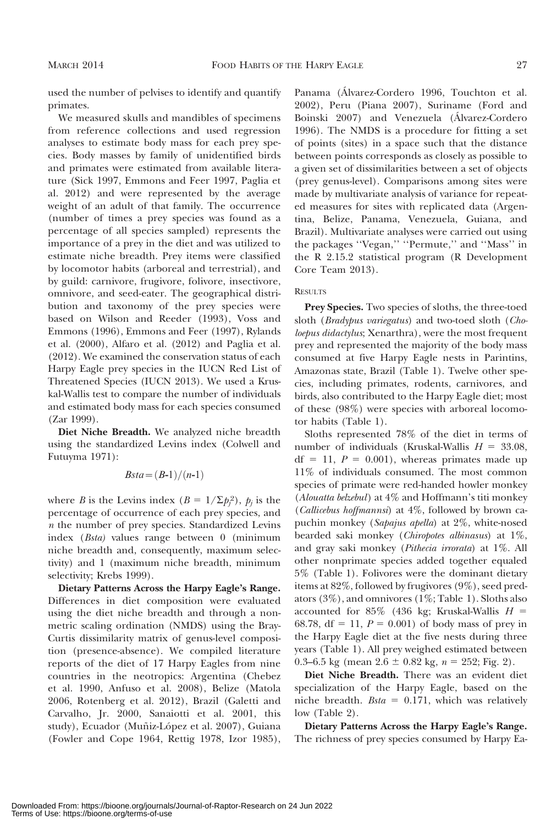used the number of pelvises to identify and quantify primates.

We measured skulls and mandibles of specimens from reference collections and used regression analyses to estimate body mass for each prey species. Body masses by family of unidentified birds and primates were estimated from available literature (Sick 1997, Emmons and Feer 1997, Paglia et al. 2012) and were represented by the average weight of an adult of that family. The occurrence (number of times a prey species was found as a percentage of all species sampled) represents the importance of a prey in the diet and was utilized to estimate niche breadth. Prey items were classified by locomotor habits (arboreal and terrestrial), and by guild: carnivore, frugivore, folivore, insectivore, omnivore, and seed-eater. The geographical distribution and taxonomy of the prey species were based on Wilson and Reeder (1993), Voss and Emmons (1996), Emmons and Feer (1997), Rylands et al. (2000), Alfaro et al. (2012) and Paglia et al. (2012). We examined the conservation status of each Harpy Eagle prey species in the IUCN Red List of Threatened Species (IUCN 2013). We used a Kruskal-Wallis test to compare the number of individuals and estimated body mass for each species consumed (Zar 1999).

Diet Niche Breadth. We analyzed niche breadth using the standardized Levins index (Colwell and Futuyma 1971):

$$
Bsta = (B-1)/(n-1)
$$

where *B* is the Levins index  $(B = 1/\Sigma p_j^2)$ ,  $p_j$  is the percentage of occurrence of each prey species, and  $n$  the number of prey species. Standardized Levins index (Bsta) values range between 0 (minimum niche breadth and, consequently, maximum selectivity) and 1 (maximum niche breadth, minimum selectivity; Krebs 1999).

Dietary Patterns Across the Harpy Eagle's Range. Differences in diet composition were evaluated using the diet niche breadth and through a nonmetric scaling ordination (NMDS) using the Bray-Curtis dissimilarity matrix of genus-level composition (presence-absence). We compiled literature reports of the diet of 17 Harpy Eagles from nine countries in the neotropics: Argentina (Chebez et al. 1990, Anfuso et al. 2008), Belize (Matola 2006, Rotenberg et al. 2012), Brazil (Galetti and Carvalho, Jr. 2000, Sanaiotti et al. 2001, this study), Ecuador (Muñiz-López et al. 2007), Guiana (Fowler and Cope 1964, Rettig 1978, Izor 1985),

Panama (Álvarez-Cordero 1996, Touchton et al. 2002), Peru (Piana 2007), Suriname (Ford and Boinski 2007) and Venezuela (Álvarez-Cordero 1996). The NMDS is a procedure for fitting a set of points (sites) in a space such that the distance between points corresponds as closely as possible to a given set of dissimilarities between a set of objects (prey genus-level). Comparisons among sites were made by multivariate analysis of variance for repeated measures for sites with replicated data (Argentina, Belize, Panama, Venezuela, Guiana, and Brazil). Multivariate analyses were carried out using the packages ''Vegan,'' ''Permute,'' and ''Mass'' in the R 2.15.2 statistical program (R Development Core Team 2013).

#### **RESULTS**

Prey Species. Two species of sloths, the three-toed sloth (Bradypus variegatus) and two-toed sloth (Choloepus didactylus; Xenarthra), were the most frequent prey and represented the majority of the body mass consumed at five Harpy Eagle nests in Parintins, Amazonas state, Brazil (Table 1). Twelve other species, including primates, rodents, carnivores, and birds, also contributed to the Harpy Eagle diet; most of these (98%) were species with arboreal locomotor habits (Table 1).

Sloths represented 78% of the diet in terms of number of individuals (Kruskal-Wallis  $H = 33.08$ ,  $df = 11$ ,  $P = 0.001$ ), whereas primates made up 11% of individuals consumed. The most common species of primate were red-handed howler monkey (Alouatta belzebul) at 4% and Hoffmann's titi monkey (Callicebus hoffmannsi) at 4%, followed by brown capuchin monkey (Sapajus apella) at 2%, white-nosed bearded saki monkey (Chiropotes albinasus) at 1%, and gray saki monkey (Pithecia irrorata) at 1%. All other nonprimate species added together equaled 5% (Table 1). Folivores were the dominant dietary items at 82%, followed by frugivores (9%), seed predators (3%), and omnivores (1%; Table 1). Sloths also accounted for 85% (436 kg; Kruskal-Wallis  $H =$ 68.78, df = 11,  $P = 0.001$ ) of body mass of prey in the Harpy Eagle diet at the five nests during three years (Table 1). All prey weighed estimated between 0.3–6.5 kg (mean  $2.6 \pm 0.82$  kg,  $n = 252$ ; Fig. 2).

Diet Niche Breadth. There was an evident diet specialization of the Harpy Eagle, based on the niche breadth. Bsta =  $0.171$ , which was relatively low (Table 2).

Dietary Patterns Across the Harpy Eagle's Range. The richness of prey species consumed by Harpy Ea-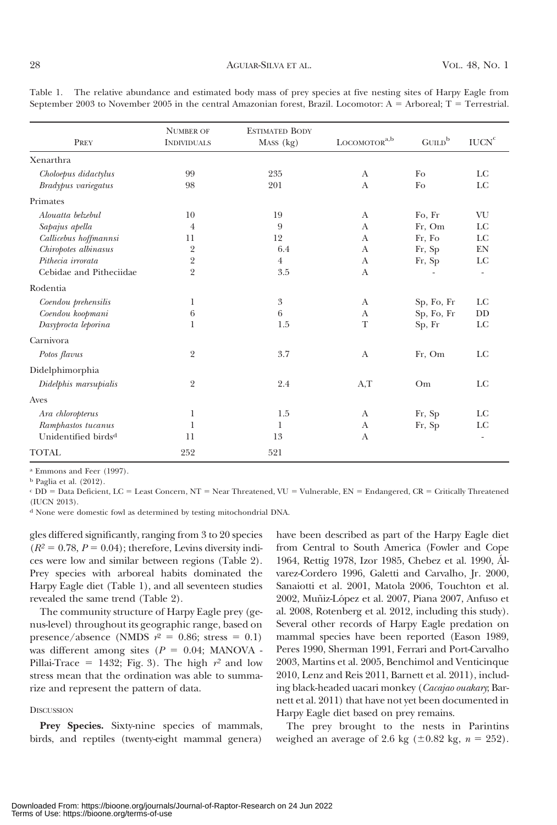| PREY                            | <b>NUMBER OF</b><br><b>INDIVIDUALS</b> | <b>ESTIMATED BODY</b><br>MASS (kg) | $\operatorname{LOCOMOTOR}^{\operatorname{a,b}}$ | $\operatorname{GULD}^{\operatorname{b}}$ | IUCN <sup>c</sup> |
|---------------------------------|----------------------------------------|------------------------------------|-------------------------------------------------|------------------------------------------|-------------------|
| Xenarthra                       |                                        |                                    |                                                 |                                          |                   |
| Choloepus didactylus            | 99                                     | 235                                | A                                               | Fo                                       | LC                |
| Bradypus variegatus             | 98                                     | 201                                | $\mathbf{A}$                                    | Fo                                       | LC                |
| Primates                        |                                        |                                    |                                                 |                                          |                   |
| Alouatta belzebul               | 10                                     | 19                                 | A                                               | Fo, Fr                                   | VU                |
| Sapajus apella                  | 4                                      | 9                                  | A                                               | Fr, Om                                   | LC                |
| Callicebus hoffmannsi           | 11                                     | 12                                 | A                                               | Fr, Fo                                   | LC                |
| Chiropotes albinasus            | $\overline{2}$                         | 6.4                                | A                                               | Fr, Sp                                   | EN                |
| Pithecia irrorata               | 2                                      | $\overline{4}$                     | A                                               | Fr, Sp                                   | LC                |
| Cebidae and Pitheciidae         | $\overline{2}$                         | 3.5                                | A                                               |                                          | $\overline{a}$    |
| Rodentia                        |                                        |                                    |                                                 |                                          |                   |
| Coendou prehensilis             | 1                                      | 3                                  | A                                               | Sp, Fo, Fr                               | LC                |
| Coendou koopmani                | 6                                      | 6                                  | A                                               | Sp, Fo, Fr                               | DD                |
| Dasyprocta leporina             | 1                                      | 1.5                                | $\mathbf T$                                     | Sp, Fr                                   | LC                |
| Carnivora                       |                                        |                                    |                                                 |                                          |                   |
| Potos flavus                    | $\overline{2}$                         | 3.7                                | $\mathbf{A}$                                    | Fr, Om                                   | LC                |
| Didelphimorphia                 |                                        |                                    |                                                 |                                          |                   |
| Didelphis marsupialis           | $\overline{2}$                         | 2.4                                | A, T                                            | Om                                       | LC                |
| Aves                            |                                        |                                    |                                                 |                                          |                   |
| Ara chloropterus                | 1                                      | 1.5                                | A                                               | Fr, Sp                                   | LC                |
| Ramphastos tucanus              | 1                                      | 1                                  | A                                               | Fr, Sp                                   | LC                |
| Unidentified birds <sup>d</sup> | 11                                     | 13                                 | $\mathbf{A}$                                    |                                          |                   |
| <b>TOTAL</b>                    | 252                                    | 521                                |                                                 |                                          |                   |

Table 1. The relative abundance and estimated body mass of prey species at five nesting sites of Harpy Eagle from September 2003 to November 2005 in the central Amazonian forest, Brazil. Locomotor:  $A =$  Arboreal;  $T =$  Terrestrial.

<sup>a</sup> Emmons and Feer (1997).

b Paglia et al. (2012).

 $c$  DD = Data Deficient, LC = Least Concern, NT = Near Threatened, VU = Vulnerable, EN = Endangered, CR = Critically Threatened (IUCN 2013).

<sup>d</sup> None were domestic fowl as determined by testing mitochondrial DNA.

gles differed significantly, ranging from 3 to 20 species  $(R<sup>2</sup> = 0.78, P = 0.04)$ ; therefore, Levins diversity indices were low and similar between regions (Table 2). Prey species with arboreal habits dominated the Harpy Eagle diet (Table 1), and all seventeen studies revealed the same trend (Table 2).

The community structure of Harpy Eagle prey (genus-level) throughout its geographic range, based on presence/absence (NMDS  $r^2 = 0.86$ ; stress = 0.1) was different among sites  $(P = 0.04; MANOVA - 1)$ Pillai-Trace = 1432; Fig. 3). The high  $r^2$  and low stress mean that the ordination was able to summarize and represent the pattern of data.

#### **DISCUSSION**

Prey Species. Sixty-nine species of mammals, birds, and reptiles (twenty-eight mammal genera)

have been described as part of the Harpy Eagle diet from Central to South America (Fowler and Cope 1964, Rettig 1978, Izor 1985, Chebez et al. 1990, Alvarez-Cordero 1996, Galetti and Carvalho, Jr. 2000, Sanaiotti et al. 2001, Matola 2006, Touchton et al. 2002, Muñiz-López et al. 2007, Piana 2007, Anfuso et al. 2008, Rotenberg et al. 2012, including this study). Several other records of Harpy Eagle predation on mammal species have been reported (Eason 1989, Peres 1990, Sherman 1991, Ferrari and Port-Carvalho 2003, Martins et al. 2005, Benchimol and Venticinque 2010, Lenz and Reis 2011, Barnett et al. 2011), including black-headed uacari monkey (Cacajao ouakary; Barnett et al. 2011) that have not yet been documented in Harpy Eagle diet based on prey remains.

The prey brought to the nests in Parintins weighed an average of 2.6 kg ( $\pm$ 0.82 kg, n = 252).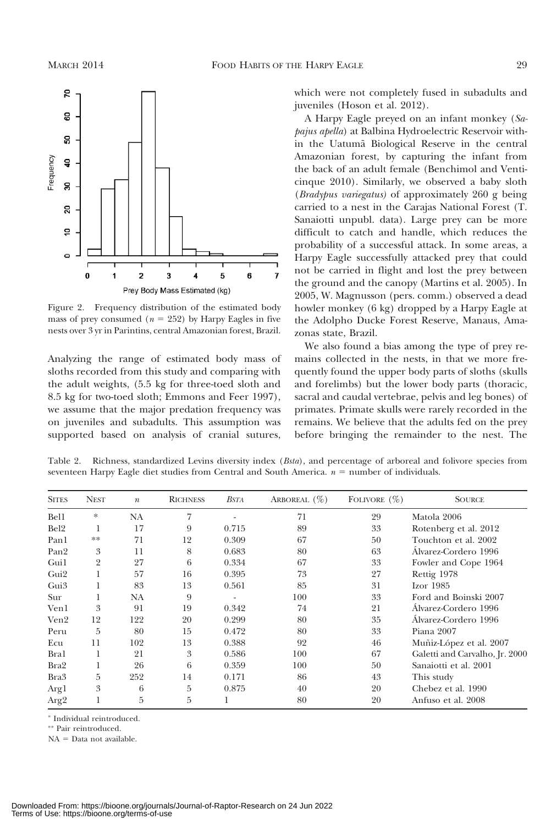

Figure 2. Frequency distribution of the estimated body mass of prey consumed ( $n = 252$ ) by Harpy Eagles in five nests over 3 yr in Parintins, central Amazonian forest, Brazil.

Analyzing the range of estimated body mass of sloths recorded from this study and comparing with the adult weights, (5.5 kg for three-toed sloth and 8.5 kg for two-toed sloth; Emmons and Feer 1997), we assume that the major predation frequency was on juveniles and subadults. This assumption was supported based on analysis of cranial sutures,

which were not completely fused in subadults and juveniles (Hoson et al. 2012).

A Harpy Eagle preyed on an infant monkey (Sapajus apella) at Balbina Hydroelectric Reservoir within the Uatuma Biological Reserve in the central Amazonian forest, by capturing the infant from the back of an adult female (Benchimol and Venticinque 2010). Similarly, we observed a baby sloth (Bradypus variegatus) of approximately 260 g being carried to a nest in the Carajas National Forest (T. Sanaiotti unpubl. data). Large prey can be more difficult to catch and handle, which reduces the probability of a successful attack. In some areas, a Harpy Eagle successfully attacked prey that could not be carried in flight and lost the prey between the ground and the canopy (Martins et al. 2005). In 2005, W. Magnusson (pers. comm.) observed a dead howler monkey (6 kg) dropped by a Harpy Eagle at the Adolpho Ducke Forest Reserve, Manaus, Amazonas state, Brazil.

We also found a bias among the type of prey remains collected in the nests, in that we more frequently found the upper body parts of sloths (skulls and forelimbs) but the lower body parts (thoracic, sacral and caudal vertebrae, pelvis and leg bones) of primates. Primate skulls were rarely recorded in the remains. We believe that the adults fed on the prey before bringing the remainder to the nest. The

Table 2. Richness, standardized Levins diversity index (Bsta), and percentage of arboreal and folivore species from seventeen Harpy Eagle diet studies from Central and South America.  $n =$  number of individuals.

| <b>SITES</b>     | <b>NEST</b>    | $\boldsymbol{n}$ | <b>RICHNESS</b> | BSTA  | ARBOREAL $(\%)$ | FOLIVORE $(\%)$ | <b>SOURCE</b>                  |  |
|------------------|----------------|------------------|-----------------|-------|-----------------|-----------------|--------------------------------|--|
| Bel <sub>1</sub> | $\frac{1}{2}$  | NA.              | 7               |       | 71              | 29              | Matola 2006                    |  |
| Bel <sub>2</sub> | 1              | 17               | 9               | 0.715 | 89              | 33              | Rotenberg et al. 2012          |  |
| Pan1             | **             | 71               | 12              | 0.309 | 67              | 50              | Touchton et al. 2002           |  |
| Pan <sub>2</sub> | 3              | 11               | 8               | 0.683 | 80              | 63              | Alvarez-Cordero 1996           |  |
| Guil             | $\overline{2}$ | 27               | 6               | 0.334 | 67              | 33              | Fowler and Cope 1964           |  |
| Gui2             | 1              | 57               | 16              | 0.395 | 73              | 27              | Rettig 1978                    |  |
| Gui3             |                | 83               | 13              | 0.561 | 85              | 31              | Izor 1985                      |  |
| Sur              |                | NA               | 9               |       | 100             | 33              | Ford and Boinski 2007          |  |
| Ven1             | 3              | 91               | 19              | 0.342 | 74              | 21              | Álvarez-Cordero 1996           |  |
| Ven <sub>2</sub> | 12             | 122              | 20              | 0.299 | 80              | 35              | Alvarez-Cordero 1996           |  |
| Peru             | 5              | 80               | 15              | 0.472 | 80              | 33              | Piana 2007                     |  |
| Ecu              | 11             | 102              | 13              | 0.388 | 92              | 46              | Muñiz-López et al. 2007        |  |
| Bra1             | 1              | 21               | 3               | 0.586 | 100             | 67              | Galetti and Carvalho, Jr. 2000 |  |
| Bra2             | 1              | 26               | 6               | 0.359 | 100             | 50              | Sanaiotti et al. 2001          |  |
| Bra3             | 5              | 252              | 14              | 0.171 | 86              | 43              | This study                     |  |
| Arg1             | 3              | 6                | 5               | 0.875 | 40              | 20              | Chebez et al. 1990             |  |
| Arg <sub>2</sub> |                | 5                | 5               | 1     | 80              | 20              | Anfuso et al. 2008             |  |

\* Individual reintroduced.

\*\* Pair reintroduced.

 $NA = Data not available.$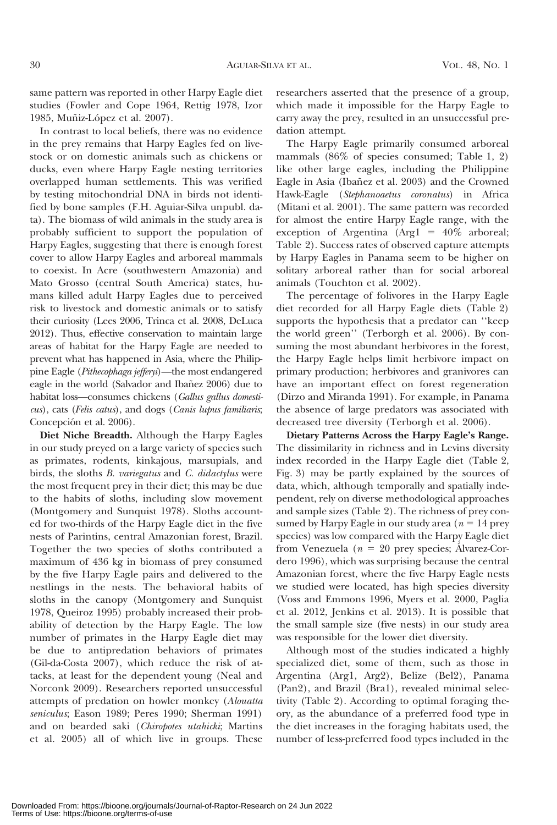same pattern was reported in other Harpy Eagle diet studies (Fowler and Cope 1964, Rettig 1978, Izor 1985, Muñiz-López et al. 2007).

In contrast to local beliefs, there was no evidence in the prey remains that Harpy Eagles fed on livestock or on domestic animals such as chickens or ducks, even where Harpy Eagle nesting territories overlapped human settlements. This was verified by testing mitochondrial DNA in birds not identified by bone samples (F.H. Aguiar-Silva unpubl. data). The biomass of wild animals in the study area is probably sufficient to support the population of Harpy Eagles, suggesting that there is enough forest cover to allow Harpy Eagles and arboreal mammals to coexist. In Acre (southwestern Amazonia) and Mato Grosso (central South America) states, humans killed adult Harpy Eagles due to perceived risk to livestock and domestic animals or to satisfy their curiosity (Lees 2006, Trinca et al. 2008, DeLuca 2012). Thus, effective conservation to maintain large areas of habitat for the Harpy Eagle are needed to prevent what has happened in Asia, where the Philippine Eagle (Pithecophaga jefferyi)-the most endangered eagle in the world (Salvador and Ibañez 2006) due to habitat loss—consumes chickens (Gallus gallus domesticus), cats (Felis catus), and dogs (Canis lupus familiaris; Concepción et al. 2006).

Diet Niche Breadth. Although the Harpy Eagles in our study preyed on a large variety of species such as primates, rodents, kinkajous, marsupials, and birds, the sloths B. variegatus and C. didactylus were the most frequent prey in their diet; this may be due to the habits of sloths, including slow movement (Montgomery and Sunquist 1978). Sloths accounted for two-thirds of the Harpy Eagle diet in the five nests of Parintins, central Amazonian forest, Brazil. Together the two species of sloths contributed a maximum of 436 kg in biomass of prey consumed by the five Harpy Eagle pairs and delivered to the nestlings in the nests. The behavioral habits of sloths in the canopy (Montgomery and Sunquist 1978, Queiroz 1995) probably increased their probability of detection by the Harpy Eagle. The low number of primates in the Harpy Eagle diet may be due to antipredation behaviors of primates (Gil-da-Costa 2007), which reduce the risk of attacks, at least for the dependent young (Neal and Norconk 2009). Researchers reported unsuccessful attempts of predation on howler monkey (Alouatta seniculus; Eason 1989; Peres 1990; Sherman 1991) and on bearded saki (Chiropotes utahicki; Martins et al. 2005) all of which live in groups. These

researchers asserted that the presence of a group, which made it impossible for the Harpy Eagle to carry away the prey, resulted in an unsuccessful predation attempt.

The Harpy Eagle primarily consumed arboreal mammals (86% of species consumed; Table 1, 2) like other large eagles, including the Philippine Eagle in Asia (Ibañez et al. 2003) and the Crowned Hawk-Eagle (Stephanoaetus coronatus) in Africa (Mitani et al. 2001). The same pattern was recorded for almost the entire Harpy Eagle range, with the exception of Argentina (Arg1 =  $40\%$  arboreal; Table 2). Success rates of observed capture attempts by Harpy Eagles in Panama seem to be higher on solitary arboreal rather than for social arboreal animals (Touchton et al. 2002).

The percentage of folivores in the Harpy Eagle diet recorded for all Harpy Eagle diets (Table 2) supports the hypothesis that a predator can ''keep the world green'' (Terborgh et al. 2006). By consuming the most abundant herbivores in the forest, the Harpy Eagle helps limit herbivore impact on primary production; herbivores and granivores can have an important effect on forest regeneration (Dirzo and Miranda 1991). For example, in Panama the absence of large predators was associated with decreased tree diversity (Terborgh et al. 2006).

Dietary Patterns Across the Harpy Eagle's Range. The dissimilarity in richness and in Levins diversity index recorded in the Harpy Eagle diet (Table 2, Fig. 3) may be partly explained by the sources of data, which, although temporally and spatially independent, rely on diverse methodological approaches and sample sizes (Table 2). The richness of prey consumed by Harpy Eagle in our study area  $(n = 14$  prey species) was low compared with the Harpy Eagle diet from Venezuela ( $n = 20$  prey species; Álvarez-Cordero 1996), which was surprising because the central Amazonian forest, where the five Harpy Eagle nests we studied were located, has high species diversity (Voss and Emmons 1996, Myers et al. 2000, Paglia et al. 2012, Jenkins et al. 2013). It is possible that the small sample size (five nests) in our study area was responsible for the lower diet diversity.

Although most of the studies indicated a highly specialized diet, some of them, such as those in Argentina (Arg1, Arg2), Belize (Bel2), Panama (Pan2), and Brazil (Bra1), revealed minimal selectivity (Table 2). According to optimal foraging theory, as the abundance of a preferred food type in the diet increases in the foraging habitats used, the number of less-preferred food types included in the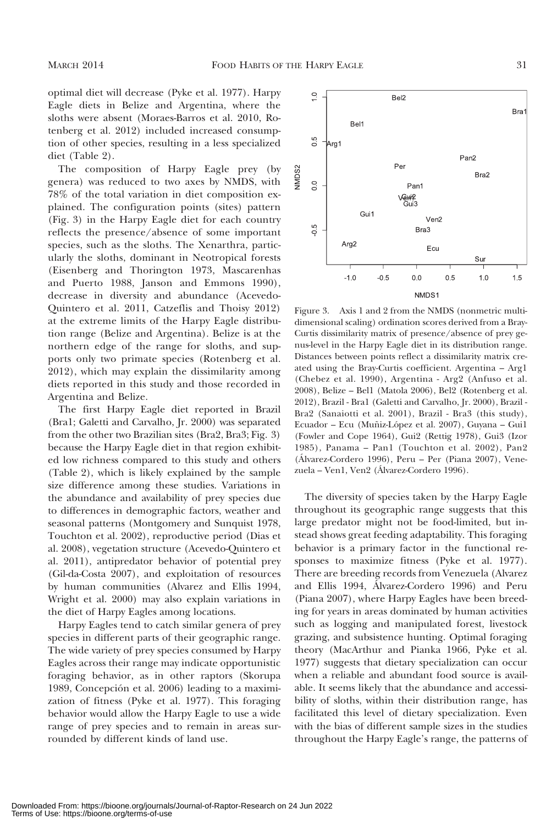optimal diet will decrease (Pyke et al. 1977). Harpy Eagle diets in Belize and Argentina, where the sloths were absent (Moraes-Barros et al. 2010, Rotenberg et al. 2012) included increased consumption of other species, resulting in a less specialized diet (Table 2).

The composition of Harpy Eagle prey (by genera) was reduced to two axes by NMDS, with 78% of the total variation in diet composition explained. The configuration points (sites) pattern (Fig. 3) in the Harpy Eagle diet for each country reflects the presence/absence of some important species, such as the sloths. The Xenarthra, particularly the sloths, dominant in Neotropical forests (Eisenberg and Thorington 1973, Mascarenhas and Puerto 1988, Janson and Emmons 1990), decrease in diversity and abundance (Acevedo-Quintero et al. 2011, Catzeflis and Thoisy 2012) at the extreme limits of the Harpy Eagle distribution range (Belize and Argentina). Belize is at the northern edge of the range for sloths, and supports only two primate species (Rotenberg et al. 2012), which may explain the dissimilarity among diets reported in this study and those recorded in Argentina and Belize.

The first Harpy Eagle diet reported in Brazil (Bra1; Galetti and Carvalho, Jr. 2000) was separated from the other two Brazilian sites (Bra2, Bra3; Fig. 3) because the Harpy Eagle diet in that region exhibited low richness compared to this study and others (Table 2), which is likely explained by the sample size difference among these studies. Variations in the abundance and availability of prey species due to differences in demographic factors, weather and seasonal patterns (Montgomery and Sunquist 1978, Touchton et al. 2002), reproductive period (Dias et al. 2008), vegetation structure (Acevedo-Quintero et al. 2011), antipredator behavior of potential prey (Gil-da-Costa 2007), and exploitation of resources by human communities (Alvarez and Ellis 1994, Wright et al. 2000) may also explain variations in the diet of Harpy Eagles among locations.

Harpy Eagles tend to catch similar genera of prey species in different parts of their geographic range. The wide variety of prey species consumed by Harpy Eagles across their range may indicate opportunistic foraging behavior, as in other raptors (Skorupa 1989, Concepción et al. 2006) leading to a maximization of fitness (Pyke et al. 1977). This foraging behavior would allow the Harpy Eagle to use a wide range of prey species and to remain in areas surrounded by different kinds of land use.



Figure 3. Axis 1 and 2 from the NMDS (nonmetric multidimensional scaling) ordination scores derived from a Bray-Curtis dissimilarity matrix of presence/absence of prey genus-level in the Harpy Eagle diet in its distribution range. Distances between points reflect a dissimilarity matrix created using the Bray-Curtis coefficient. Argentina – Arg1 (Chebez et al. 1990), Argentina - Arg2 (Anfuso et al. 2008), Belize – Bel1 (Matola 2006), Bel2 (Rotenberg et al. 2012), Brazil - Bra1 (Galetti and Carvalho, Jr. 2000), Brazil - Bra2 (Sanaiotti et al. 2001), Brazil - Bra3 (this study), Ecuador – Ecu (Muñiz-López et al. 2007), Guyana – Gui1 (Fowler and Cope 1964), Gui2 (Rettig 1978), Gui3 (Izor 1985), Panama – Pan1 (Touchton et al. 2002), Pan2 (Álvarez-Cordero 1996), Peru – Per (Piana 2007), Venezuela – Ven1, Ven2 (Álvarez-Cordero 1996).

The diversity of species taken by the Harpy Eagle throughout its geographic range suggests that this large predator might not be food-limited, but instead shows great feeding adaptability. This foraging behavior is a primary factor in the functional responses to maximize fitness (Pyke et al. 1977). There are breeding records from Venezuela (Alvarez and Ellis 1994, Alvarez-Cordero 1996) and Peru (Piana 2007), where Harpy Eagles have been breeding for years in areas dominated by human activities such as logging and manipulated forest, livestock grazing, and subsistence hunting. Optimal foraging theory (MacArthur and Pianka 1966, Pyke et al. 1977) suggests that dietary specialization can occur when a reliable and abundant food source is available. It seems likely that the abundance and accessibility of sloths, within their distribution range, has facilitated this level of dietary specialization. Even with the bias of different sample sizes in the studies throughout the Harpy Eagle's range, the patterns of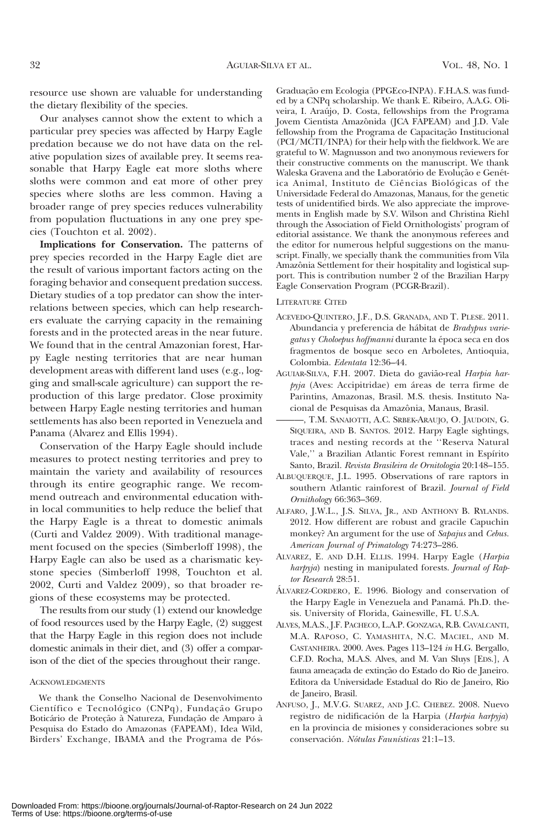resource use shown are valuable for understanding the dietary flexibility of the species.

Our analyses cannot show the extent to which a particular prey species was affected by Harpy Eagle predation because we do not have data on the relative population sizes of available prey. It seems reasonable that Harpy Eagle eat more sloths where sloths were common and eat more of other prey species where sloths are less common. Having a broader range of prey species reduces vulnerability from population fluctuations in any one prey species (Touchton et al. 2002).

Implications for Conservation. The patterns of prey species recorded in the Harpy Eagle diet are the result of various important factors acting on the foraging behavior and consequent predation success. Dietary studies of a top predator can show the interrelations between species, which can help researchers evaluate the carrying capacity in the remaining forests and in the protected areas in the near future. We found that in the central Amazonian forest, Harpy Eagle nesting territories that are near human development areas with different land uses (e.g., logging and small-scale agriculture) can support the reproduction of this large predator. Close proximity between Harpy Eagle nesting territories and human settlements has also been reported in Venezuela and Panama (Alvarez and Ellis 1994).

Conservation of the Harpy Eagle should include measures to protect nesting territories and prey to maintain the variety and availability of resources through its entire geographic range. We recommend outreach and environmental education within local communities to help reduce the belief that the Harpy Eagle is a threat to domestic animals (Curti and Valdez 2009). With traditional management focused on the species (Simberloff 1998), the Harpy Eagle can also be used as a charismatic keystone species (Simberloff 1998, Touchton et al. 2002, Curti and Valdez 2009), so that broader regions of these ecosystems may be protected.

The results from our study (1) extend our knowledge of food resources used by the Harpy Eagle, (2) suggest that the Harpy Eagle in this region does not include domestic animals in their diet, and (3) offer a comparison of the diet of the species throughout their range.

#### **ACKNOWLEDGMENTS**

We thank the Conselho Nacional de Desenvolvimento Científico e Tecnológico (CNPq), Fundação Grupo Boticário de Proteção à Natureza, Fundação de Amparo à Pesquisa do Estado do Amazonas (FAPEAM), Idea Wild, Birders' Exchange, IBAMA and the Programa de PósGraduação em Ecologia (PPGEco-INPA). F.H.A.S. was funded by a CNPq scholarship. We thank E. Ribeiro, A.A.G. Oliveira, I. Araújo, D. Costa, fellowships from the Programa Jovem Cientista Amazônida (JCA FAPEAM) and J.D. Vale fellowship from the Programa de Capacitação Institucional (PCI/MCTI/INPA) for their help with the fieldwork. We are grateful to W. Magnusson and two anonymous reviewers for their constructive comments on the manuscript. We thank Waleska Gravena and the Laboratório de Evolução e Genética Animal, Instituto de Ciências Biológicas of the Universidade Federal do Amazonas, Manaus, for the genetic tests of unidentified birds. We also appreciate the improvements in English made by S.V. Wilson and Christina Riehl through the Association of Field Ornithologists' program of editorial assistance. We thank the anonymous referees and the editor for numerous helpful suggestions on the manuscript. Finally, we specially thank the communities from Vila Amazônia Settlement for their hospitality and logistical support. This is contribution number 2 of the Brazilian Harpy Eagle Conservation Program (PCGR-Brazil).

#### LITERATURE CITED

- ACEVEDO-QUINTERO, J.F., D.S. GRANADA, AND T. PLESE. 2011. Abundancia y preferencia de hábitat de Bradypus variegatus y Choloepus hoffmanni durante la época seca en dos fragmentos de bosque seco en Arboletes, Antioquia, Colombia. Edentata 12:36–44.
- AGUIAR-SILVA, F.H. 2007. Dieta do gavião-real Harpia harpyja (Aves: Accipitridae) em áreas de terra firme de Parintins, Amazonas, Brasil. M.S. thesis. Instituto Nacional de Pesquisas da Amazônia, Manaus, Brasil.
- ———, T.M. SANAIOTTI, A.C. SRBEK-ARAUJO, O. JAUDOIN, G. SIQUEIRA, AND B. SANTOS. 2012. Harpy Eagle sightings, traces and nesting records at the ''Reserva Natural Vale," a Brazilian Atlantic Forest remnant in Espírito Santo, Brazil. Revista Brasileira de Ornitologia 20:148–155.
- ALBUQUERQUE, J.L. 1995. Observations of rare raptors in southern Atlantic rainforest of Brazil. Journal of Field Ornithology 66:363–369.
- ALFARO, J.W.L., J.S. SILVA, JR., AND ANTHONY B. RYLANDS. 2012. How different are robust and gracile Capuchin monkey? An argument for the use of Sapajus and Cebus. American Journal of Primatology 74:273–286.
- ALVAREZ, E. AND D.H. ELLIS. 1994. Harpy Eagle (Harpia harpyja) nesting in manipulated forests. Journal of Raptor Research 28:51.
- ÁLVAREZ-CORDERO, E. 1996. Biology and conservation of the Harpy Eagle in Venezuela and Panamá. Ph.D. thesis. University of Florida, Gainesville, FL U.S.A.
- ALVES, M.A.S., J.F. PACHECO, L.A.P. GONZAGA, R.B. CAVALCANTI, M.A. RAPOSO, C. YAMASHITA, N.C. MACIEL, AND M. CASTANHEIRA. 2000. Aves. Pages 113–124 in H.G. Bergallo, C.F.D. Rocha, M.A.S. Alves, and M. Van Sluys [EDS.], A fauna ameaçada de extinção do Estado do Rio de Janeiro. Editora da Universidade Estadual do Rio de Janeiro, Rio de Janeiro, Brasil.
- ANFUSO, J., M.V.G. SUAREZ, AND J.C. CHEBEZ. 2008. Nuevo registro de nidificación de la Harpia (Harpia harpyja) en la provincia de misiones y consideraciones sobre su conservación. Nótulas Faunísticas 21:1-13.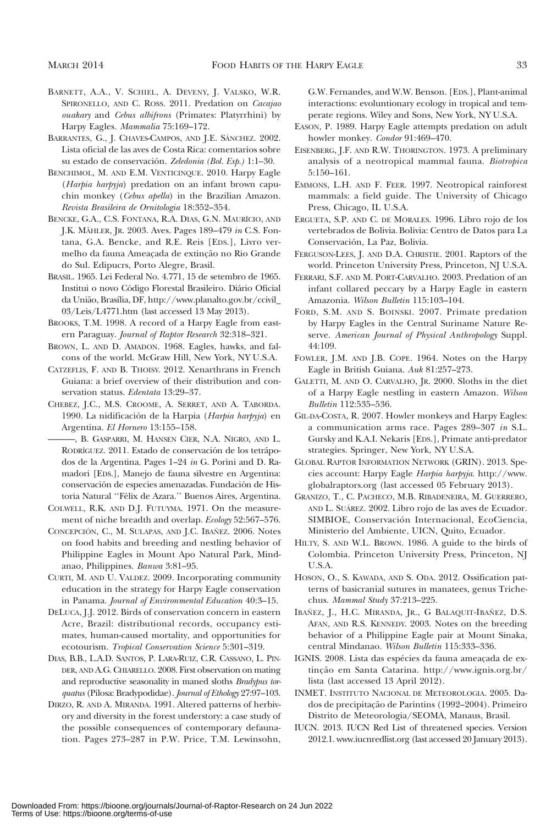- BARNETT, A.A., V. SCHIEL, A. DEVENY, J. VALSKO, W.R. SPIRONELLO, AND C. ROSS. 2011. Predation on Cacajao ouakary and Cebus albifrons (Primates: Platyrrhini) by Harpy Eagles. Mammalia 75:169–172.
- BARRANTES, G., J. CHAVES-CAMPOS, AND J.E. SÁNCHEZ. 2002. Lista oficial de las aves de Costa Rica: comentarios sobre su estado de conservación. Zeledonia (Bol. Esp.) 1:1–30.
- BENCHIMOL, M. AND E.M. VENTICINQUE. 2010. Harpy Eagle (Harpia harpyja) predation on an infant brown capuchin monkey (Cebus apella) in the Brazilian Amazon. Revista Brasileira de Ornitologia 18:352–354.
- BENCKE, G.A., C.S. FONTANA, R.A. DIAS, G.N. MAURÍCIO, AND J.K. MÄHLER, JR. 2003. Aves. Pages 189-479 in C.S. Fontana, G.A. Bencke, and R.E. Reis [EDS.], Livro vermelho da fauna Ameaçada de extinção no Rio Grande do Sul. Edipucrs, Porto Alegre, Brasil.
- BRASIL. 1965. Lei Federal No. 4.771, 15 de setembro de 1965. Institui o novo Código Florestal Brasileiro. Diário Oficial da Unia˜o, Brası´lia, DF, http://www.planalto.gov.br/ccivil\_ 03/Leis/L4771.htm (last accessed 13 May 2013).
- BROOKS, T.M. 1998. A record of a Harpy Eagle from eastern Paraguay. Journal of Raptor Research 32:318–321.
- BROWN, L. AND D. AMADON. 1968. Eagles, hawks, and falcons of the world. McGraw Hill, New York, NY U.S.A.
- CATZEFLIS, F. AND B. THOISY. 2012. Xenarthrans in French Guiana: a brief overview of their distribution and conservation status. Edentata 13:29–37.
- CHEBEZ, J.C., M.S. CROOME, A. SERRET, AND A. TABORDA. 1990. La nidificación de la Harpia (Harpia harpyja) en Argentina. El Hornero 13:155–158.
	- ———, B. GASPARRI, M. HANSEN CIER, N.A. NIGRO, AND L. RODRÍGUEZ. 2011. Estado de conservación de los tetrápodos de la Argentina. Pages 1–24 in G. Porini and D. Ramadori [EDS.], Manejo de fauna silvestre en Argentina: conservación de especies amenazadas. Fundación de Historia Natural "Félix de Azara." Buenos Aires, Argentina.
- COLWELL, R.K. AND D.J. FUTUYMA. 1971. On the measurement of niche breadth and overlap. Ecology 52:567–576.
- CONCEPCIÓN, C., M. SULAPAS, AND J.C. IBAÑEZ. 2006. Notes on food habits and breeding and nestling behavior of Philippine Eagles in Mount Apo Natural Park, Mindanao, Philippines. Banwa 3:81–95.
- CURTI, M. AND U. VALDEZ. 2009. Incorporating community education in the strategy for Harpy Eagle conservation in Panama. Journal of Environmental Education 40:3–15.
- DELUCA, J.J. 2012. Birds of conservation concern in eastern Acre, Brazil: distributional records, occupancy estimates, human-caused mortality, and opportunities for ecotourism. Tropical Conservation Science 5:301–319.
- DIAS, B.B., L.A.D. SANTOS, P. LARA-RUIZ, C.R. CASSANO, L. PIN-DER, AND A.G. CHIARELLO. 2008. First observation on mating and reproductive seasonality in maned sloths Bradypus torquatus (Pilosa: Bradypodidae). Journal of Ethology 27:97–103.
- DIRZO, R. AND A. MIRANDA. 1991. Altered patterns of herbivory and diversity in the forest understory: a case study of the possible consequences of contemporary defaunation. Pages 273–287 in P.W. Price, T.M. Lewinsohn,

G.W. Fernandes, and W.W. Benson. [EDS.], Plant-animal interactions: evoluntionary ecology in tropical and temperate regions. Wiley and Sons, New York, NY U.S.A.

- EASON, P. 1989. Harpy Eagle attempts predation on adult howler monkey. Condor 91:469–470.
- EISENBERG, J.F. AND R.W. THORINGTON. 1973. A preliminary analysis of a neotropical mammal fauna. Biotropica 5:150–161.
- EMMONS, L.H. AND F. FEER. 1997. Neotropical rainforest mammals: a field guide. The University of Chicago Press, Chicago, IL U.S.A.
- ERGUETA, S.P. AND C. DE MORALES. 1996. Libro rojo de los vertebrados de Bolivia.Bolivia: Centro de Datos para La Conservación, La Paz, Bolivia.
- FERGUSON-LEES, J. AND D.A. CHRISTIE. 2001. Raptors of the world. Princeton University Press, Princeton, NJ U.S.A.
- FERRARI, S.F. AND M. PORT-CARVALHO. 2003. Predation of an infant collared peccary by a Harpy Eagle in eastern Amazonia. Wilson Bulletin 115:103–104.
- FORD, S.M. AND S. BOINSKI. 2007. Primate predation by Harpy Eagles in the Central Suriname Nature Reserve. American Journal of Physical Anthropology Suppl. 44:109.
- FOWLER, J.M. AND J.B. COPE. 1964. Notes on the Harpy Eagle in British Guiana. Auk 81:257–273.
- GALETTI, M. AND O. CARVALHO, JR. 2000. Sloths in the diet of a Harpy Eagle nestling in eastern Amazon. Wilson Bulletin 112:535–536.
- GIL-DA-COSTA, R. 2007. Howler monkeys and Harpy Eagles: a communication arms race. Pages 289–307 in S.L. Gursky and K.A.I. Nekaris [EDS.], Primate anti-predator strategies. Springer, New York, NY U.S.A.
- GLOBAL RAPTOR INFORMATION NETWORK (GRIN). 2013. Species account: Harpy Eagle Harpia harpyja. http://www. globalraptors.org (last accessed 05 February 2013).
- GRANIZO, T., C. PACHECO, M.B. RIBADENEIRA, M. GUERRERO, AND L. SUA´REZ. 2002. Libro rojo de las aves de Ecuador. SIMBIOE, Conservación Internacional, EcoCiencia, Ministerio del Ambiente, UICN, Quito, Ecuador.
- HILTY, S. AND W.L. BROWN. 1986. A guide to the birds of Colombia. Princeton University Press, Princeton, NJ U.S.A.
- HOSON, O., S. KAWADA, AND S. ODA. 2012. Ossification patterns of basicranial sutures in manatees, genus Trichechus. Mammal Study 37:213–225.
- IBAÑEZ, J., H.C. MIRANDA, JR., G BALAQUIT-IBAÑEZ, D.S. AFAN, AND R.S. KENNEDY. 2003. Notes on the breeding behavior of a Philippine Eagle pair at Mount Sinaka, central Mindanao. Wilson Bulletin 115:333–336.
- IGNIS. 2008. Lista das espécies da fauna ameaçada de extinção em Santa Catarina. http://www.ignis.org.br/ lista (last accessed 13 April 2012).
- INMET. INSTITUTO NACIONAL DE METEOROLOGIA. 2005. Dados de precipitação de Parintins (1992–2004). Primeiro Distrito de Meteorologia/SEOMA, Manaus, Brasil.
- IUCN. 2013. IUCN Red List of threatened species. Version 2012.1. www.iucnredlist.org (last accessed 20 January 2013).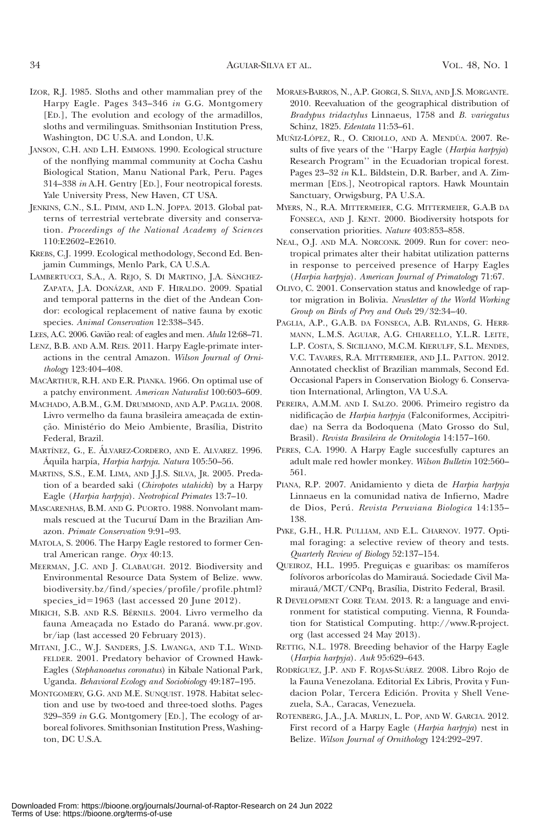- IZOR, R.J. 1985. Sloths and other mammalian prey of the Harpy Eagle. Pages 343–346 in G.G. Montgomery [ED.], The evolution and ecology of the armadillos, sloths and vermilinguas. Smithsonian Institution Press, Washington, DC U.S.A. and London, U.K.
- JANSON, C.H. AND L.H. EMMONS. 1990. Ecological structure of the nonflying mammal community at Cocha Cashu Biological Station, Manu National Park, Peru. Pages 314–338 in A.H. Gentry [ED.], Four neotropical forests. Yale University Press, New Haven, CT USA.
- JENKINS, C.N., S.L. PIMM, AND L.N. JOPPA. 2013. Global patterns of terrestrial vertebrate diversity and conservation. Proceedings of the National Academy of Sciences 110:E2602–E2610.
- KREBS, C.J. 1999. Ecological methodology, Second Ed. Benjamin Cummings, Menlo Park, CA U.S.A.
- LAMBERTUCCI, S.A., A. REJO, S. DI MARTINO, J.A. SÁNCHEZ-ZAPATA, J.A. DONÁZAR, AND F. HIRALDO. 2009. Spatial and temporal patterns in the diet of the Andean Condor: ecological replacement of native fauna by exotic species. Animal Conservation 12:338–345.
- LEES, A.C. 2006. Gavião real: of eagles and men. Alula 12:68-71.
- LENZ, B.B. AND A.M. REIS. 2011. Harpy Eagle-primate interactions in the central Amazon. Wilson Journal of Ornithology 123:404–408.
- MACARTHUR, R.H. AND E.R. PIANKA. 1966. On optimal use of a patchy environment. American Naturalist 100:603–609.
- MACHADO, A.B.M., G.M. DRUMMOND, AND A.P. PAGLIA. 2008. Livro vermelho da fauna brasileira ameaçada de extincão. Ministério do Meio Ambiente, Brasília, Distrito Federal, Brazil.
- MARTÍNEZ, G., E. ÁLVAREZ-CORDERO, AND E. ALVAREZ. 1996. Áquila harpía, Harpia harpyja. Natura 105:50-56.
- MARTINS, S.S., E.M. LIMA, AND J.J.S. SILVA, JR. 2005. Predation of a bearded saki (Chiropotes utahicki) by a Harpy Eagle (Harpia harpyja). Neotropical Primates 13:7–10.
- MASCARENHAS, B.M. AND G. PUORTO. 1988. Nonvolant mammals rescued at the Tucuruı´ Dam in the Brazilian Amazon. Primate Conservation 9:91–93.
- MATOLA, S. 2006. The Harpy Eagle restored to former Central American range. Oryx 40:13.
- MEERMAN, J.C. AND J. CLABAUGH. 2012. Biodiversity and Environmental Resource Data System of Belize. www. biodiversity.bz/find/species/profile/profile.phtml? species\_id=1963 (last accessed 20 June 2012).
- MIKICH, S.B. AND R.S. BÉRNILS. 2004. Livro vermelho da fauna Ameaçada no Estado do Paraná. www.pr.gov. br/iap (last accessed 20 February 2013).
- MITANI, J.C., W.J. SANDERS, J.S. LWANGA, AND T.L. WIND-FELDER. 2001. Predatory behavior of Crowned Hawk-Eagles (Stephanoaetus coronatus) in Kibale National Park, Uganda. Behavioral Ecology and Sociobiology 49:187–195.
- MONTGOMERY, G.G. AND M.E. SUNQUIST. 1978. Habitat selection and use by two-toed and three-toed sloths. Pages 329–359 in G.G. Montgomery [ED.], The ecology of arboreal folivores. Smithsonian Institution Press, Washington, DC U.S.A.
- MORAES-BARROS, N., A.P. GIORGI, S. SILVA, AND J.S. MORGANTE. 2010. Reevaluation of the geographical distribution of Bradypus tridactylus Linnaeus, 1758 and B. variegatus Schinz, 1825. Edentata 11:53–61.
- MUÑIZ-LÓPEZ, R., O. CRIOLLO, AND A. MENDÚA. 2007. Results of five years of the "Harpy Eagle (Harpia harpyja) Research Program'' in the Ecuadorian tropical forest. Pages 23–32 in K.L. Bildstein, D.R. Barber, and A. Zimmerman [EDS.], Neotropical raptors. Hawk Mountain Sanctuary, Orwigsburg, PA U.S.A.
- MYERS, N., R.A. MITTERMEIER, C.G. MITTERMEIER, G.A.B DA FONSECA, AND J. KENT. 2000. Biodiversity hotspots for conservation priorities. Nature 403:853–858.
- NEAL, O.J. AND M.A. NORCONK. 2009. Run for cover: neotropical primates alter their habitat utilization patterns in response to perceived presence of Harpy Eagles (Harpia harpyja). American Journal of Primatology 71:67.
- OLIVO, C. 2001. Conservation status and knowledge of raptor migration in Bolivia. Newsletter of the World Working Group on Birds of Prey and Owls 29/32:34–40.
- PAGLIA, A.P., G.A.B. DA FONSECA, A.B. RYLANDS, G. HERR-MANN, L.M.S. AGUIAR, A.G. CHIARELLO, Y.L.R. LEITE, L.P. COSTA, S. SICILIANO, M.C.M. KIERULFF, S.L. MENDES, V.C. TAVARES, R.A. MITTERMEIER, AND J.L. PATTON. 2012. Annotated checklist of Brazilian mammals, Second Ed. Occasional Papers in Conservation Biology 6. Conservation International, Arlington, VA U.S.A.
- PEREIRA, A.M.M. AND I. SALZO. 2006. Primeiro registro da nidificação de Harpia harpyja (Falconiformes, Accipitridae) na Serra da Bodoquena (Mato Grosso do Sul, Brasil). Revista Brasileira de Ornitologia 14:157–160.
- PERES, C.A. 1990. A Harpy Eagle succesfully captures an adult male red howler monkey. Wilson Bulletin 102:560– 561.
- PIANA, R.P. 2007. Anidamiento y dieta de Harpia harpyja Linnaeus en la comunidad nativa de Infierno, Madre de Dios, Perú. Revista Peruviana Biologica 14:135-138.
- PYKE, G.H., H.R. PULLIAM, AND E.L. CHARNOV. 1977. Optimal foraging: a selective review of theory and tests. Quarterly Review of Biology 52:137–154.
- QUEIROZ, H.L. 1995. Preguiças e guaribas: os mamíferos folívoros arborícolas do Mamirauá. Sociedade Civil Mamirauá/MCT/CNPq, Brasília, Distrito Federal, Brasil.
- R DEVELOPMENT CORE TEAM. 2013. R: a language and environment for statistical computing. Vienna, R Foundation for Statistical Computing. http://www.R-project. org (last accessed 24 May 2013).
- RETTIG, N.L. 1978. Breeding behavior of the Harpy Eagle (Harpia harpyja). Auk 95:629–643.
- RODRÍGUEZ, J.P. AND F. ROJAS-SUÁREZ. 2008. Libro Rojo de la Fauna Venezolana. Editorial Ex Libris, Provita y Fundacion Polar, Tercera Edición. Provita y Shell Venezuela, S.A., Caracas, Venezuela.
- ROTENBERG, J.A., J.A. MARLIN, L. POP, AND W. GARCIA. 2012. First record of a Harpy Eagle (Harpia harpyja) nest in Belize. Wilson Journal of Ornithology 124:292–297.